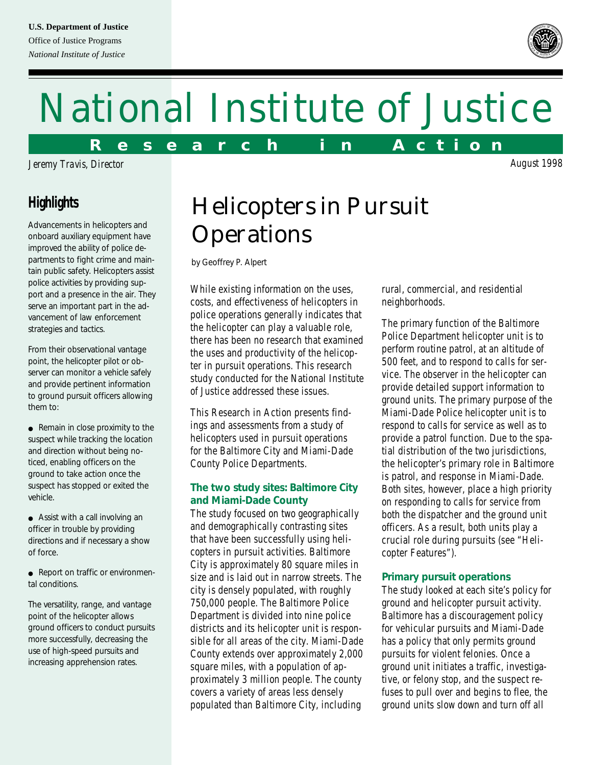#### **U.S. Department of Justice**

Office of Justice Programs *National Institute of Justice*

# National Institute of Justice

**R e s e a r c h i n A c t i o n**

*Jeremy Travis, Director*

### **Highlights**

Advancements in helicopters and onboard auxiliary equipment have improved the ability of police departments to fight crime and maintain public safety. Helicopters assist police activities by providing support and a presence in the air. They serve an important part in the advancement of law enforcement strategies and tactics.

From their observational vantage point, the helicopter pilot or observer can monitor a vehicle safely and provide pertinent information to ground pursuit officers allowing them to:

● Remain in close proximity to the suspect while tracking the location and direction without being noticed, enabling officers on the ground to take action once the suspect has stopped or exited the vehicle.

● Assist with a call involving an officer in trouble by providing directions and if necessary a show of force.

● Report on traffic or environmental conditions.

The versatility, range, and vantage point of the helicopter allows ground officers to conduct pursuits more successfully, decreasing the use of high-speed pursuits and increasing apprehension rates.

# Helicopters in Pursuit **Operations**

*by Geoffrey P. Alpert*

While existing information on the uses, costs, and effectiveness of helicopters in police operations generally indicates that the helicopter can play a valuable role, there has been no research that examined the uses and productivity of the helicopter in pursuit operations. This research study conducted for the National Institute of Justice addressed these issues.

This Research in Action presents findings and assessments from a study of helicopters used in pursuit operations for the Baltimore City and Miami-Dade County Police Departments.

#### **The two study sites: Baltimore City and Miami-Dade County**

The study focused on two geographically and demographically contrasting sites that have been successfully using helicopters in pursuit activities. Baltimore City is approximately 80 square miles in size and is laid out in narrow streets. The city is densely populated, with roughly 750,000 people. The Baltimore Police Department is divided into nine police districts and its helicopter unit is responsible for all areas of the city. Miami-Dade County extends over approximately 2,000 square miles, with a population of approximately 3 million people. The county covers a variety of areas less densely populated than Baltimore City, including

rural, commercial, and residential neighborhoods.

The primary function of the Baltimore Police Department helicopter unit is to perform routine patrol, at an altitude of 500 feet, and to respond to calls for service. The observer in the helicopter can provide detailed support information to ground units. The primary purpose of the Miami-Dade Police helicopter unit is to respond to calls for service as well as to provide a patrol function. Due to the spatial distribution of the two jurisdictions, the helicopter's primary role in Baltimore is patrol, and response in Miami-Dade. Both sites, however, place a high priority on responding to calls for service from both the dispatcher and the ground unit officers. As a result, both units play a crucial role during pursuits (see "Helicopter Features").

#### **Primary pursuit operations**

The study looked at each site's policy for ground and helicopter pursuit activity. Baltimore has a discouragement policy for vehicular pursuits and Miami-Dade has a policy that only permits ground pursuits for violent felonies. Once a ground unit initiates a traffic, investigative, or felony stop, and the suspect refuses to pull over and begins to flee, the ground units slow down and turn off all

*August 1998*

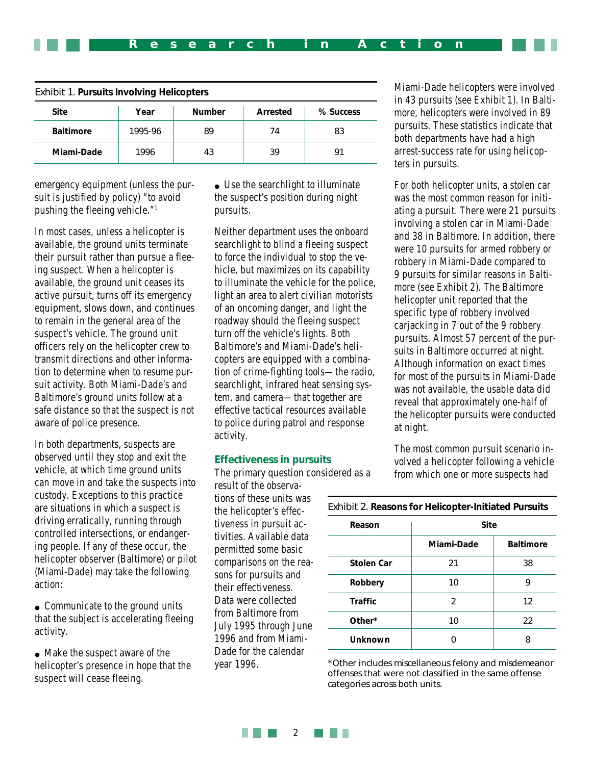| <b>Exhibit 1. Pursuits Involving Helicopters</b> |         |               |          |           |  |  |
|--------------------------------------------------|---------|---------------|----------|-----------|--|--|
| <b>Site</b>                                      | Year    | <b>Number</b> | Arrested | % Success |  |  |
| <b>Baltimore</b>                                 | 1995-96 | 89            | 74       | 83        |  |  |
| Miami-Dade                                       | 1996    | 43            | 39       | 91        |  |  |

emergency equipment (unless the pursuit is justified by policy) "to avoid pushing the fleeing vehicle."1

In most cases, unless a helicopter is available, the ground units terminate their pursuit rather than pursue a fleeing suspect. When a helicopter is available, the ground unit ceases its active pursuit, turns off its emergency equipment, slows down, and continues to remain in the general area of the suspect's vehicle. The ground unit officers rely on the helicopter crew to transmit directions and other information to determine when to resume pursuit activity. Both Miami-Dade's and Baltimore's ground units follow at a safe distance so that the suspect is not aware of police presence.

In both departments, suspects are observed until they stop and exit the vehicle, at which time ground units can move in and take the suspects into custody. Exceptions to this practice are situations in which a suspect is driving erratically, running through controlled intersections, or endangering people. If any of these occur, the helicopter observer (Baltimore) or pilot (Miami-Dade) may take the following action:

• Communicate to the ground units that the subject is accelerating fleeing activity.

• Make the suspect aware of the helicopter's presence in hope that the suspect will cease fleeing.

• Use the searchlight to illuminate the suspect's position during night pursuits.

Neither department uses the onboard searchlight to blind a fleeing suspect to force the individual to stop the vehicle, but maximizes on its capability to illuminate the vehicle for the police, light an area to alert civilian motorists of an oncoming danger, and light the roadway should the fleeing suspect turn off the vehicle's lights. Both Baltimore's and Miami-Dade's helicopters are equipped with a combination of crime-fighting tools—the radio, searchlight, infrared heat sensing system, and camera—that together are effective tactical resources available to police during patrol and response activity.

#### **Effectiveness in pursuits**

The primary question considered as a

result of the observations of these units was the helicopter's effectiveness in pursuit activities. Available data permitted some basic comparisons on the reasons for pursuits and their effectiveness. Data were collected from Baltimore from July 1995 through June 1996 and from Miami-Dade for the calendar year 1996.

Miami-Dade helicopters were involved in 43 pursuits (see Exhibit 1). In Baltimore, helicopters were involved in 89 pursuits. These statistics indicate that both departments have had a high arrest-success rate for using helicopters in pursuits.

For both helicopter units, a stolen car was the most common reason for initiating a pursuit. There were 21 pursuits involving a stolen car in Miami-Dade and 38 in Baltimore. In addition, there were 10 pursuits for armed robbery or robbery in Miami-Dade compared to 9 pursuits for similar reasons in Baltimore (see Exhibit 2). The Baltimore helicopter unit reported that the specific type of robbery involved carjacking in 7 out of the 9 robbery pursuits. Almost 57 percent of the pursuits in Baltimore occurred at night. Although information on exact times for most of the pursuits in Miami-Dade was not available, the usable data did reveal that approximately one-half of the helicopter pursuits were conducted at night.

The most common pursuit scenario involved a helicopter following a vehicle from which one or more suspects had

| Reason            | <b>Site</b>   |                  |  |  |
|-------------------|---------------|------------------|--|--|
|                   | Miami-Dade    | <b>Baltimore</b> |  |  |
| <b>Stolen Car</b> | 21            | 38               |  |  |
| Robbery           | 10            | 9                |  |  |
| <b>Traffic</b>    | $\mathcal{P}$ | 12               |  |  |
| Other*            | 10            | 22               |  |  |
| Unknown           |               |                  |  |  |

*Exhibit 2. Reasons for Helicopter-Initiated Pursuits*

\*Other includes miscellaneous felony and misdemeanor offenses that were not classified in the same offense categories across both units.

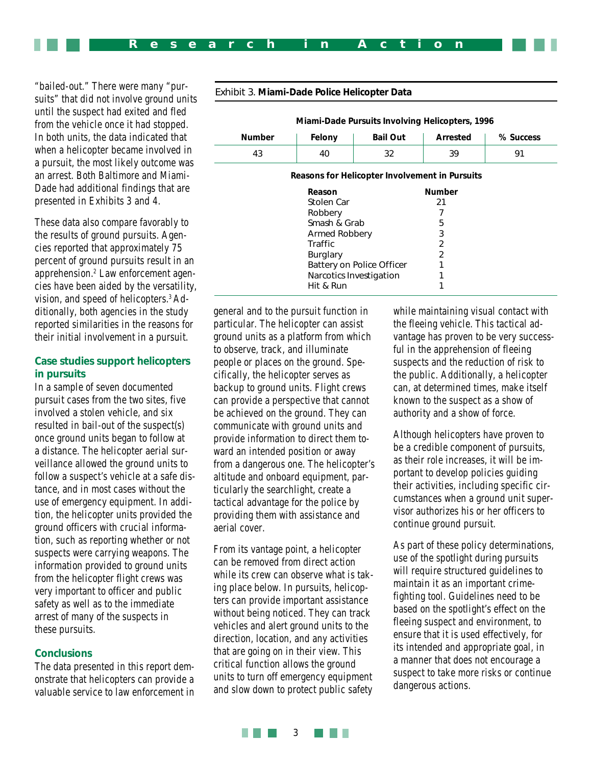"bailed-out." There were many "pursuits" that did not involve ground units until the suspect had exited and fled from the vehicle once it had stopped. In both units, the data indicated that when a helicopter became involved in a pursuit, the most likely outcome was an arrest. Both Baltimore and Miami-Dade had additional findings that are presented in Exhibits 3 and 4.

These data also compare favorably to the results of ground pursuits. Agencies reported that approximately 75 percent of ground pursuits result in an apprehension.2 Law enforcement agencies have been aided by the versatility, vision, and speed of helicopters.3 Additionally, both agencies in the study reported similarities in the reasons for their initial involvement in a pursuit.

#### **Case studies support helicopters in pursuits**

In a sample of seven documented pursuit cases from the two sites, five involved a stolen vehicle, and six resulted in bail-out of the suspect(s) once ground units began to follow at a distance. The helicopter aerial surveillance allowed the ground units to follow a suspect's vehicle at a safe distance, and in most cases without the use of emergency equipment. In addition, the helicopter units provided the ground officers with crucial information, such as reporting whether or not suspects were carrying weapons. The information provided to ground units from the helicopter flight crews was very important to officer and public safety as well as to the immediate arrest of many of the suspects in these pursuits.

#### **Conclusions**

The data presented in this report demonstrate that helicopters can provide a valuable service to law enforcement in

| Miami-Dade Pursuits Involving Helicopters, 1996 |                           |                         |                |           |  |
|-------------------------------------------------|---------------------------|-------------------------|----------------|-----------|--|
| <b>Number</b>                                   | Felony                    | <b>Bail Out</b>         | Arrested       | % Success |  |
| 43                                              | 40                        | 32                      | 39             | 91        |  |
| Reasons for Helicopter Involvement in Pursuits  |                           |                         |                |           |  |
|                                                 | Reason                    |                         | <b>Number</b>  |           |  |
|                                                 | Stolen Car                |                         | 21             |           |  |
|                                                 | Robbery                   |                         |                |           |  |
|                                                 | Smash & Grab              |                         | 5              |           |  |
|                                                 | Armed Robbery             |                         | 3              |           |  |
|                                                 | Traffic                   |                         | $\mathfrak{D}$ |           |  |
|                                                 | <b>Burglary</b>           |                         | 2              |           |  |
|                                                 | Battery on Police Officer |                         |                |           |  |
|                                                 |                           | Narcotics Investigation |                |           |  |
|                                                 | Hit & Run                 |                         |                |           |  |

#### *Exhibit 3. Miami-Dade Police Helicopter Data*

general and to the pursuit function in particular. The helicopter can assist ground units as a platform from which to observe, track, and illuminate people or places on the ground. Specifically, the helicopter serves as backup to ground units. Flight crews can provide a perspective that cannot be achieved on the ground. They can communicate with ground units and provide information to direct them toward an intended position or away from a dangerous one. The helicopter's altitude and onboard equipment, particularly the searchlight, create a tactical advantage for the police by providing them with assistance and aerial cover.

From its vantage point, a helicopter can be removed from direct action while its crew can observe what is taking place below. In pursuits, helicopters can provide important assistance without being noticed. They can track vehicles and alert ground units to the direction, location, and any activities that are going on in their view. This critical function allows the ground units to turn off emergency equipment and slow down to protect public safety

while maintaining visual contact with the fleeing vehicle. This tactical advantage has proven to be very successful in the apprehension of fleeing suspects and the reduction of risk to the public. Additionally, a helicopter can, at determined times, make itself known to the suspect as a show of authority and a show of force.

Although helicopters have proven to be a credible component of pursuits, as their role increases, it will be important to develop policies guiding their activities, including specific circumstances when a ground unit supervisor authorizes his or her officers to continue ground pursuit.

As part of these policy determinations, use of the spotlight during pursuits will require structured guidelines to maintain it as an important crimefighting tool. Guidelines need to be based on the spotlight's effect on the fleeing suspect and environment, to ensure that it is used effectively, for its intended and appropriate goal, in a manner that does not encourage a suspect to take more risks or continue dangerous actions.

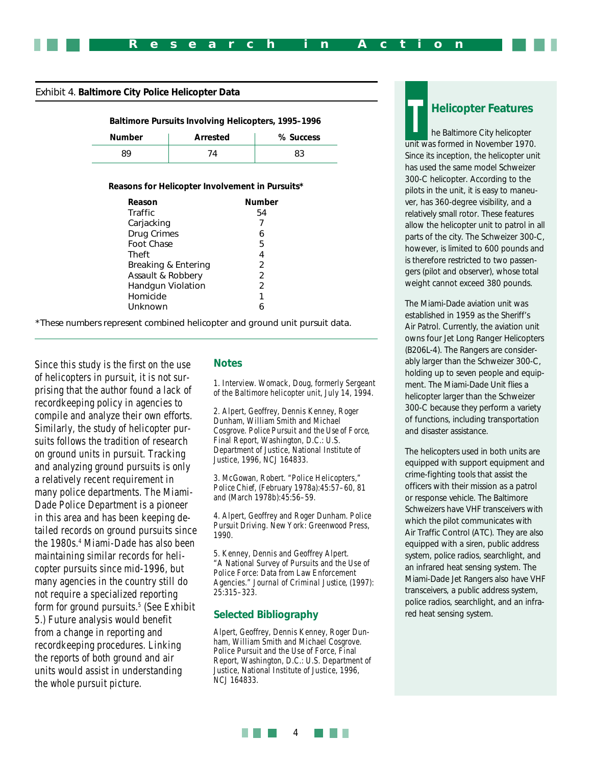#### *Exhibit 4. Baltimore City Police Helicopter Data*

| <b>Baltimore Pursuits Involving Helicopters, 1995-1996</b> |  |  |
|------------------------------------------------------------|--|--|
|                                                            |  |  |

| <b>Number</b> | Arrested | % Success |
|---------------|----------|-----------|
|               |          |           |

#### **Reasons for Helicopter Involvement in Pursuits\***

| Reason              | Number        |
|---------------------|---------------|
| Traffic             | 54            |
| Carjacking          |               |
| <b>Drug Crimes</b>  | 6             |
| Foot Chase          | 5             |
| Theft               | 4             |
| Breaking & Entering | $\mathcal{P}$ |
| Assault & Robbery   | $\mathcal{P}$ |
| Handgun Violation   | 2             |
| Homicide            | 1             |
| Unknown             |               |

\*These numbers represent combined helicopter and ground unit pursuit data.

Since this study is the first on the use of helicopters in pursuit, it is not surprising that the author found a lack of recordkeeping policy in agencies to compile and analyze their own efforts. Similarly, the study of helicopter pursuits follows the tradition of research on ground units in pursuit. Tracking and analyzing ground pursuits is only a relatively recent requirement in many police departments. The Miami-Dade Police Department is a pioneer in this area and has been keeping detailed records on ground pursuits since the 1980s.4 Miami-Dade has also been maintaining similar records for helicopter pursuits since mid-1996, but many agencies in the country still do not require a specialized reporting form for ground pursuits.5 (See Exhibit 5.) Future analysis would benefit from a change in reporting and recordkeeping procedures. Linking the reports of both ground and air units would assist in understanding the whole pursuit picture.

#### **Notes**

1. Interview. Womack, Doug, formerly Sergeant of the Baltimore helicopter unit, July 14, 1994.

2. Alpert, Geoffrey, Dennis Kenney, Roger Dunham, William Smith and Michael Cosgrove. *Police Pursuit and the Use of Force*, Final Report, Washington, D.C.: U.S. Department of Justice, National Institute of Justice, 1996, NCJ 164833.

3. McGowan, Robert. "Police Helicopters," *Police Chief*, (February 1978a):45:57–60, 81 and (March 1978b):45:56–59.

4. Alpert, Geoffrey and Roger Dunham. *Police Pursuit Driving*. New York: Greenwood Press, 1990.

5. Kenney, Dennis and Geoffrey Alpert. "A National Survey of Pursuits and the Use of Police Force: Data from Law Enforcement Agencies." *Journal of Criminal Justice*, (1997): 25:315–323.

#### **Selected Bibliography**

Alpert, Geoffrey, Dennis Kenney, Roger Dunham, William Smith and Michael Cosgrove. Police Pursuit and the Use of Force, Final Report, Washington, D.C.: U.S. Department of Justice, National Institute of Justice, 1996, NCJ 164833.

#### **Helicopter Features**

he Baltimore City helicopter unit was formed in November 1970. Since its inception, the helicopter unit has used the same model Schweizer 300-C helicopter. According to the pilots in the unit, it is easy to maneuver, has 360-degree visibility, and a relatively small rotor. These features allow the helicopter unit to patrol in all parts of the city. The Schweizer 300-C, however, is limited to 600 pounds and is therefore restricted to two passengers (pilot and observer), whose total weight cannot exceed 380 pounds. **T**

The Miami-Dade aviation unit was established in 1959 as the Sheriff's Air Patrol. Currently, the aviation unit owns four Jet Long Ranger Helicopters (B206L-4). The Rangers are considerably larger than the Schweizer 300-C, holding up to seven people and equipment. The Miami-Dade Unit flies a helicopter larger than the Schweizer 300-C because they perform a variety of functions, including transportation and disaster assistance.

The helicopters used in both units are equipped with support equipment and crime-fighting tools that assist the officers with their mission as a patrol or response vehicle. The Baltimore Schweizers have VHF transceivers with which the pilot communicates with Air Traffic Control (ATC). They are also equipped with a siren, public address system, police radios, searchlight, and an infrared heat sensing system. The Miami-Dade Jet Rangers also have VHF transceivers, a public address system, police radios, searchlight, and an infrared heat sensing system.

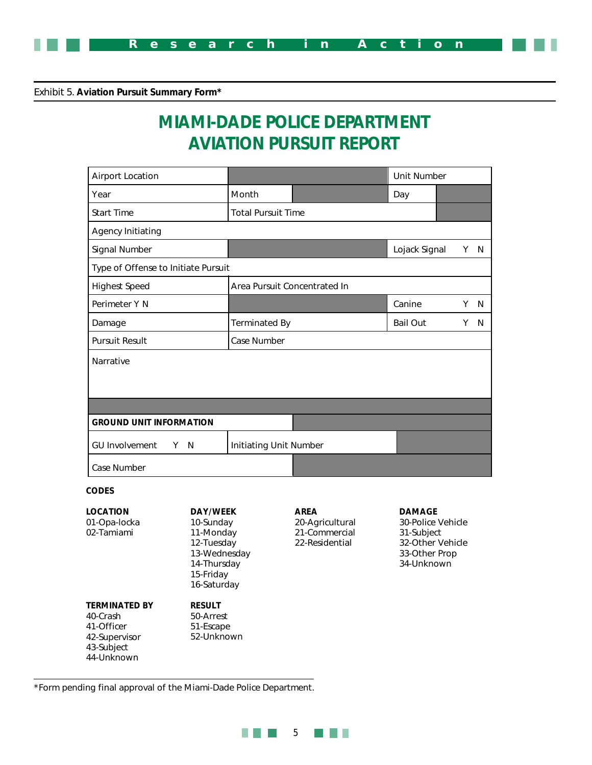

*Exhibit 5. Aviation Pursuit Summary Form\**

## **MIAMI-DADE POLICE DEPARTMENT AVIATION PURSUIT REPORT**

| <b>Airport Location</b>                       |  |                                           |                               |                                                 | <b>Unit Number</b>                               |    |     |  |  |
|-----------------------------------------------|--|-------------------------------------------|-------------------------------|-------------------------------------------------|--------------------------------------------------|----|-----|--|--|
| Year                                          |  |                                           | Month                         |                                                 | Day                                              |    |     |  |  |
| <b>Start Time</b>                             |  |                                           | <b>Total Pursuit Time</b>     |                                                 |                                                  |    |     |  |  |
| <b>Agency Initiating</b>                      |  |                                           |                               |                                                 |                                                  |    |     |  |  |
| Signal Number                                 |  |                                           |                               |                                                 | Lojack Signal                                    |    | Y N |  |  |
| Type of Offense to Initiate Pursuit           |  |                                           |                               |                                                 |                                                  |    |     |  |  |
| <b>Highest Speed</b>                          |  |                                           |                               | Area Pursuit Concentrated In                    |                                                  |    |     |  |  |
| Perimeter Y N                                 |  |                                           |                               | Canine                                          | Y.                                               | N. |     |  |  |
| Damage                                        |  | <b>Terminated By</b>                      |                               |                                                 | Y                                                | N  |     |  |  |
| <b>Pursuit Result</b>                         |  | Case Number                               |                               |                                                 |                                                  |    |     |  |  |
| Narrative                                     |  |                                           |                               |                                                 |                                                  |    |     |  |  |
|                                               |  |                                           |                               |                                                 |                                                  |    |     |  |  |
| <b>GROUND UNIT INFORMATION</b>                |  |                                           |                               |                                                 |                                                  |    |     |  |  |
| <b>GU Involvement</b>                         |  | Y N                                       | <b>Initiating Unit Number</b> |                                                 |                                                  |    |     |  |  |
| Case Number                                   |  |                                           |                               |                                                 |                                                  |    |     |  |  |
| <b>CODES</b>                                  |  |                                           |                               |                                                 |                                                  |    |     |  |  |
| <b>LOCATION</b><br>01-Opa-locka<br>02-Tamiami |  | <b>DAY/WEEK</b><br>10-Sunday<br>11-Mondav |                               | <b>AREA</b><br>20-Agricultural<br>21-Commercial | <b>DAMAGE</b><br>30-Police Vehicle<br>31-Subject |    |     |  |  |

11-Monday 12-Tuesday 13-Wednesday 14-Thursday 15-Friday 16-Saturday

**RESULT** 50-Arrest 51-Escape 52-Unknown 21-Commercial 22-Residential

31-Subject 32-Other Vehicle 33-Other Prop 34-Unknown

\*Form pending final approval of the Miami-Dade Police Department.

**TERMINATED BY**

40-Crash 41-Officer 42-Supervisor 43-Subject 44-Unknown